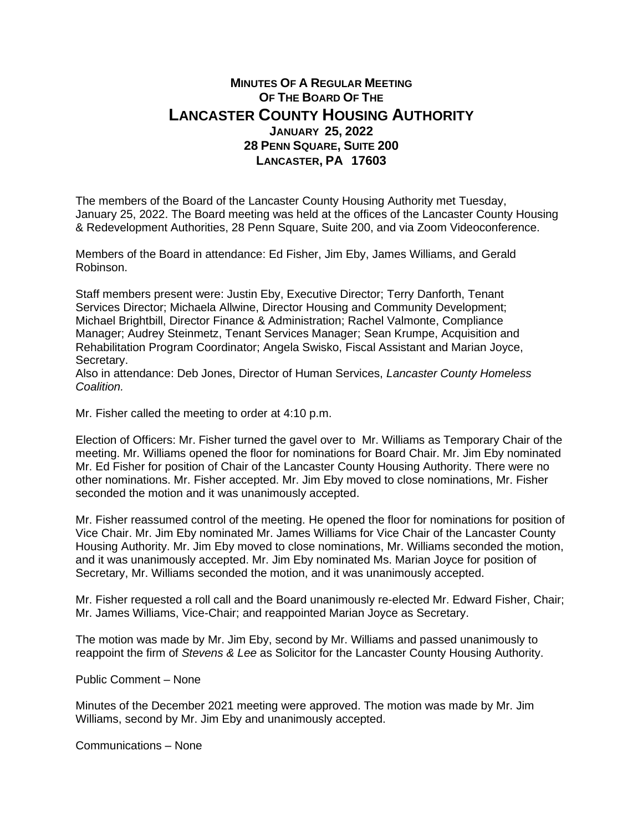## **MINUTES OF A REGULAR MEETING OF THE BOARD OF THE LANCASTER COUNTY HOUSING AUTHORITY JANUARY 25, 2022 28 PENN SQUARE, SUITE 200 LANCASTER, PA 17603**

The members of the Board of the Lancaster County Housing Authority met Tuesday, January 25, 2022. The Board meeting was held at the offices of the Lancaster County Housing & Redevelopment Authorities, 28 Penn Square, Suite 200, and via Zoom Videoconference.

Members of the Board in attendance: Ed Fisher, Jim Eby, James Williams, and Gerald Robinson.

Staff members present were: Justin Eby, Executive Director; Terry Danforth, Tenant Services Director; Michaela Allwine, Director Housing and Community Development; Michael Brightbill, Director Finance & Administration; Rachel Valmonte, Compliance Manager; Audrey Steinmetz, Tenant Services Manager; Sean Krumpe, Acquisition and Rehabilitation Program Coordinator; Angela Swisko, Fiscal Assistant and Marian Joyce, Secretary.

Also in attendance: Deb Jones, Director of Human Services, *Lancaster County Homeless Coalition.*

Mr. Fisher called the meeting to order at 4:10 p.m.

Election of Officers: Mr. Fisher turned the gavel over to Mr. Williams as Temporary Chair of the meeting. Mr. Williams opened the floor for nominations for Board Chair. Mr. Jim Eby nominated Mr. Ed Fisher for position of Chair of the Lancaster County Housing Authority. There were no other nominations. Mr. Fisher accepted. Mr. Jim Eby moved to close nominations, Mr. Fisher seconded the motion and it was unanimously accepted.

Mr. Fisher reassumed control of the meeting. He opened the floor for nominations for position of Vice Chair. Mr. Jim Eby nominated Mr. James Williams for Vice Chair of the Lancaster County Housing Authority. Mr. Jim Eby moved to close nominations, Mr. Williams seconded the motion, and it was unanimously accepted. Mr. Jim Eby nominated Ms. Marian Joyce for position of Secretary, Mr. Williams seconded the motion, and it was unanimously accepted.

Mr. Fisher requested a roll call and the Board unanimously re-elected Mr. Edward Fisher, Chair; Mr. James Williams, Vice-Chair; and reappointed Marian Joyce as Secretary.

The motion was made by Mr. Jim Eby, second by Mr. Williams and passed unanimously to reappoint the firm of *Stevens & Lee* as Solicitor for the Lancaster County Housing Authority.

Public Comment – None

Minutes of the December 2021 meeting were approved. The motion was made by Mr. Jim Williams, second by Mr. Jim Eby and unanimously accepted.

Communications – None